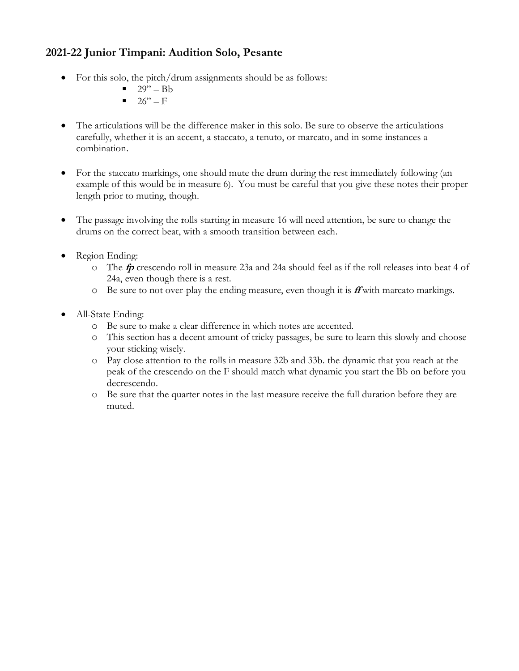## **2021-22 Junior Timpani: Audition Solo, Pesante**

- For this solo, the pitch/drum assignments should be as follows:
	- $\blacksquare$  29" Bb
	- $\blacksquare$  26" F
- The articulations will be the difference maker in this solo. Be sure to observe the articulations carefully, whether it is an accent, a staccato, a tenuto, or marcato, and in some instances a combination.
- For the staccato markings, one should mute the drum during the rest immediately following (an example of this would be in measure 6). You must be careful that you give these notes their proper length prior to muting, though.
- The passage involving the rolls starting in measure 16 will need attention, be sure to change the drums on the correct beat, with a smooth transition between each.
- Region Ending:
	- o The **fp** crescendo roll in measure 23a and 24a should feel as if the roll releases into beat 4 of 24a, even though there is a rest.
	- o Be sure to not over-play the ending measure, even though it is **ff** with marcato markings.
- All-State Ending:
	- o Be sure to make a clear difference in which notes are accented.
	- o This section has a decent amount of tricky passages, be sure to learn this slowly and choose your sticking wisely.
	- o Pay close attention to the rolls in measure 32b and 33b. the dynamic that you reach at the peak of the crescendo on the F should match what dynamic you start the Bb on before you decrescendo.
	- o Be sure that the quarter notes in the last measure receive the full duration before they are muted.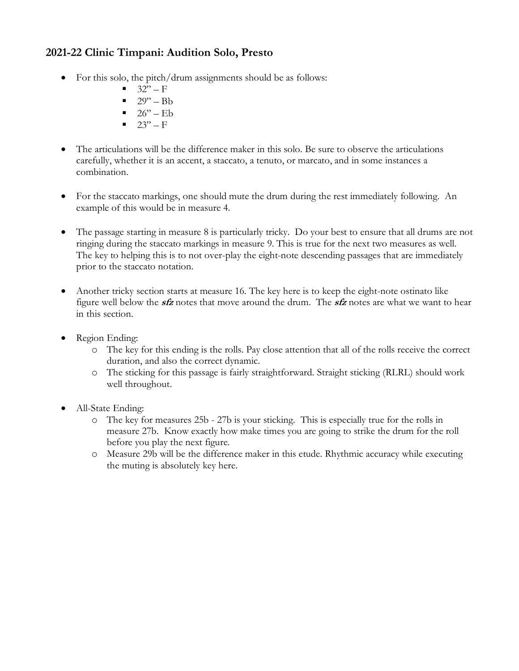## **2021-22 Clinic Timpani: Audition Solo, Presto**

- For this solo, the pitch/drum assignments should be as follows:
	- $32" F$
	- $\blacksquare$  29" Bb
	- $\blacksquare$  26" Eb
	- $\blacksquare$  23" F
- The articulations will be the difference maker in this solo. Be sure to observe the articulations carefully, whether it is an accent, a staccato, a tenuto, or marcato, and in some instances a combination.
- For the staccato markings, one should mute the drum during the rest immediately following. An example of this would be in measure 4.
- The passage starting in measure 8 is particularly tricky. Do your best to ensure that all drums are not ringing during the staccato markings in measure 9. This is true for the next two measures as well. The key to helping this is to not over-play the eight-note descending passages that are immediately prior to the staccato notation.
- Another tricky section starts at measure 16. The key here is to keep the eight-note ostinato like figure well below the **sfz** notes that move around the drum. The **sfz** notes are what we want to hear in this section.
- Region Ending:
	- o The key for this ending is the rolls. Pay close attention that all of the rolls receive the correct duration, and also the correct dynamic.
	- o The sticking for this passage is fairly straightforward. Straight sticking (RLRL) should work well throughout.
- All-State Ending:
	- o The key for measures 25b 27b is your sticking. This is especially true for the rolls in measure 27b. Know exactly how make times you are going to strike the drum for the roll before you play the next figure.
	- o Measure 29b will be the difference maker in this etude. Rhythmic accuracy while executing the muting is absolutely key here.